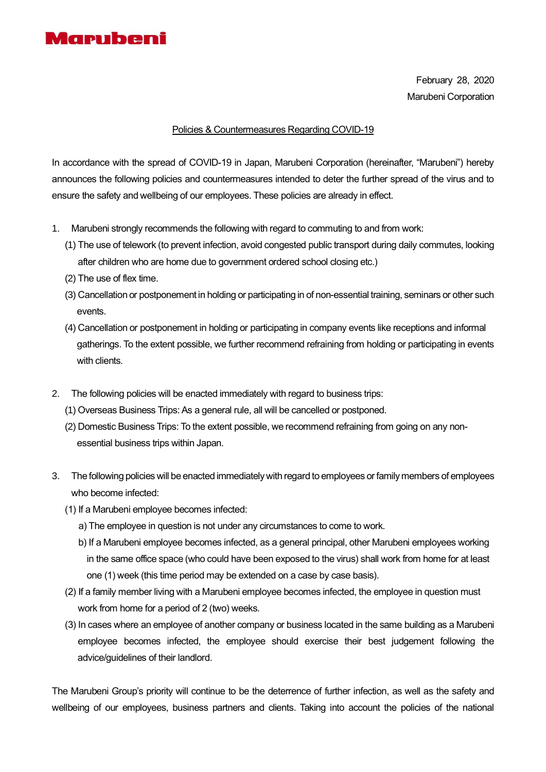

February 28, 2020 Marubeni Corporation

## Policies & Countermeasures Regarding COVID-19

In accordance with the spread of COVID-19 in Japan, Marubeni Corporation (hereinafter, "Marubeni") hereby announces the following policies and countermeasures intended to deter the further spread of the virus and to ensure the safety and wellbeing of our employees. These policies are already in effect.

- 1. Marubeni strongly recommends the following with regard to commuting to and from work:
	- (1) The use of telework (to prevent infection, avoid congested public transport during daily commutes, looking after children who are home due to government ordered school closing etc.)
	- (2) The use of flex time.
	- (3) Cancellation or postponement in holding or participating in of non-essential training, seminars or other such events.
	- (4) Cancellation or postponement in holding or participating in company events like receptions and informal gatherings. To the extent possible, we further recommend refraining from holding or participating in events with clients.
- 2. The following policies will be enacted immediately with regard to business trips:
	- (1) Overseas Business Trips: As a general rule, all will be cancelled or postponed.
	- (2) Domestic Business Trips: To the extent possible, we recommend refraining from going on any nonessential business trips within Japan.
- 3. The following policies will be enacted immediately with regard to employees or family members of employees who become infected:
	- (1) If a Marubeni employee becomes infected:
		- a) The employee in question is not under any circumstances to come to work.
		- b) If a Marubeni employee becomes infected, as a general principal, other Marubeni employees working in the same office space (who could have been exposed to the virus) shall work from home for at least one (1) week (this time period may be extended on a case by case basis).
	- (2) If a family member living with a Marubeni employee becomes infected, the employee in question must work from home for a period of 2 (two) weeks.
	- (3) In cases where an employee of another company or business located in the same building as a Marubeni employee becomes infected, the employee should exercise their best judgement following the advice/guidelines of their landlord.

The Marubeni Group's priority will continue to be the deterrence of further infection, as well as the safety and wellbeing of our employees, business partners and clients. Taking into account the policies of the national